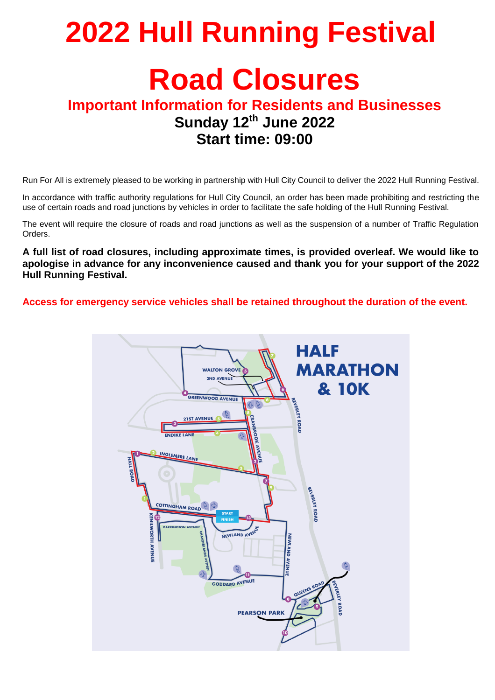# **2022 Hull Running Festival Road Closures**

## **Important Information for Residents and Businesses Sunday 12th June 2022 Start time: 09:00**

Run For All is extremely pleased to be working in partnership with Hull City Council to deliver the 2022 Hull Running Festival.

In accordance with traffic authority regulations for Hull City Council, an order has been made prohibiting and restricting the use of certain roads and road junctions by vehicles in order to facilitate the safe holding of the Hull Running Festival.

The event will require the closure of roads and road junctions as well as the suspension of a number of Traffic Regulation Orders.

**A full list of road closures, including approximate times, is provided overleaf. We would like to apologise in advance for any inconvenience caused and thank you for your support of the 2022 Hull Running Festival.**

**Access for emergency service vehicles shall be retained throughout the duration of the event.**